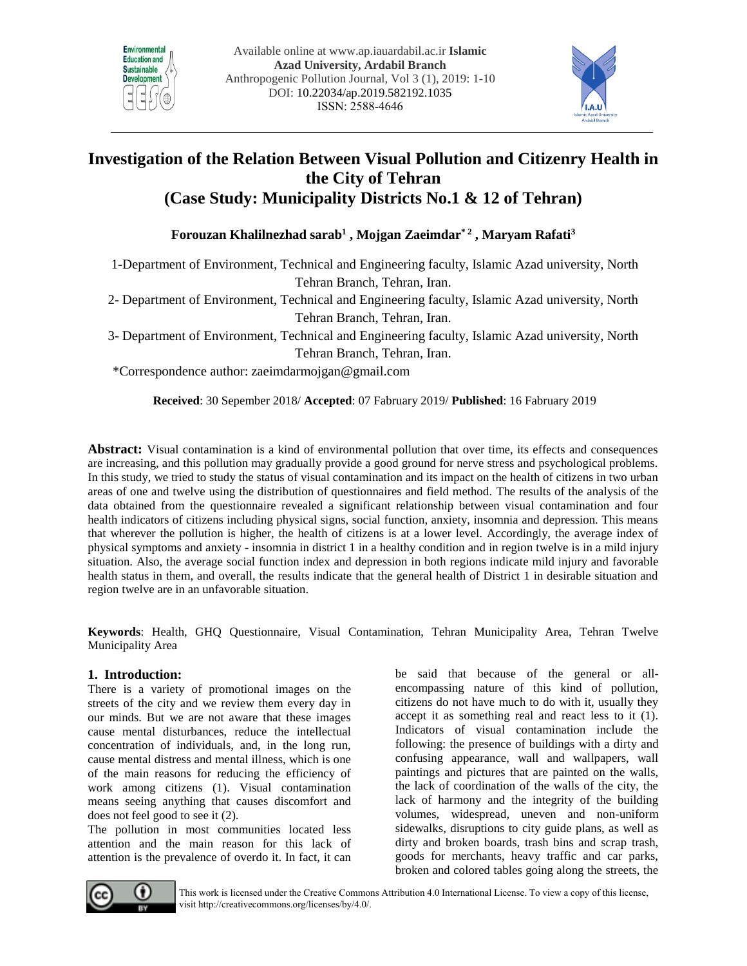



# **Investigation of the Relation Between Visual Pollution and Citizenry Health in the City of Tehran (Case Study: Municipality Districts No.1 & 12 of Tehran)**

**Forouzan Khalilnezhad sarab1 , Mojgan Zaeimdar\* 2 , Maryam Rafati3**

1-Department of Environment, Technical and Engineering faculty, Islamic Azad university, North Tehran Branch, Tehran, Iran.

2- Department of Environment, Technical and Engineering faculty, Islamic Azad university, North Tehran Branch, Tehran, Iran.

3- Department of Environment, Technical and Engineering faculty, Islamic Azad university, North Tehran Branch, Tehran, Iran.

\*Correspondence author: [zaeimdarmojgan@gmail.com](mailto:zaeimdarmojgan@gmail.com) 

**Received**: 30 Sepember 2018/ **Accepted**: 07 Fabruary 2019/ **Published**: 16 Fabruary 2019

**Abstract:** Visual contamination is a kind of environmental pollution that over time, its effects and consequences are increasing, and this pollution may gradually provide a good ground for nerve stress and psychological problems. In this study, we tried to study the status of visual contamination and its impact on the health of citizens in two urban areas of one and twelve using the distribution of questionnaires and field method. The results of the analysis of the data obtained from the questionnaire revealed a significant relationship between visual contamination and four health indicators of citizens including physical signs, social function, anxiety, insomnia and depression. This means that wherever the pollution is higher, the health of citizens is at a lower level. Accordingly, the average index of physical symptoms and anxiety - insomnia in district 1 in a healthy condition and in region twelve is in a mild injury situation. Also, the average social function index and depression in both regions indicate mild injury and favorable health status in them, and overall, the results indicate that the general health of District 1 in desirable situation and region twelve are in an unfavorable situation.

**Keywords**: Health, GHQ Questionnaire, Visual Contamination, Tehran Municipality Area, Tehran Twelve Municipality Area

# **1. Introduction:**

There is a variety of promotional images on the streets of the city and we review them every day in our minds. But we are not aware that these images cause mental disturbances, reduce the intellectual concentration of individuals, and, in the long run, cause mental distress and mental illness, which is one of the main reasons for reducing the efficiency of work among citizens (1). Visual contamination means seeing anything that causes discomfort and does not feel good to see it (2).

The pollution in most communities located less attention and the main reason for this lack of attention is the prevalence of overdo it. In fact, it can

be said that because of the general or allencompassing nature of this kind of pollution, citizens do not have much to do with it, usually they accept it as something real and react less to it (1). Indicators of visual contamination include the following: the presence of buildings with a dirty and confusing appearance, wall and wallpapers, wall paintings and pictures that are painted on the walls, the lack of coordination of the walls of the city, the lack of harmony and the integrity of the building volumes, widespread, uneven and non-uniform sidewalks, disruptions to city guide plans, as well as dirty and broken boards, trash bins and scrap trash, goods for merchants, heavy traffic and car parks, broken and colored tables going along the streets, the



This work is licensed under the Creative Commons Attribution 4.0 International License. To view a copy of this license, visit http://creativecommons.org/licenses/by/4.0/.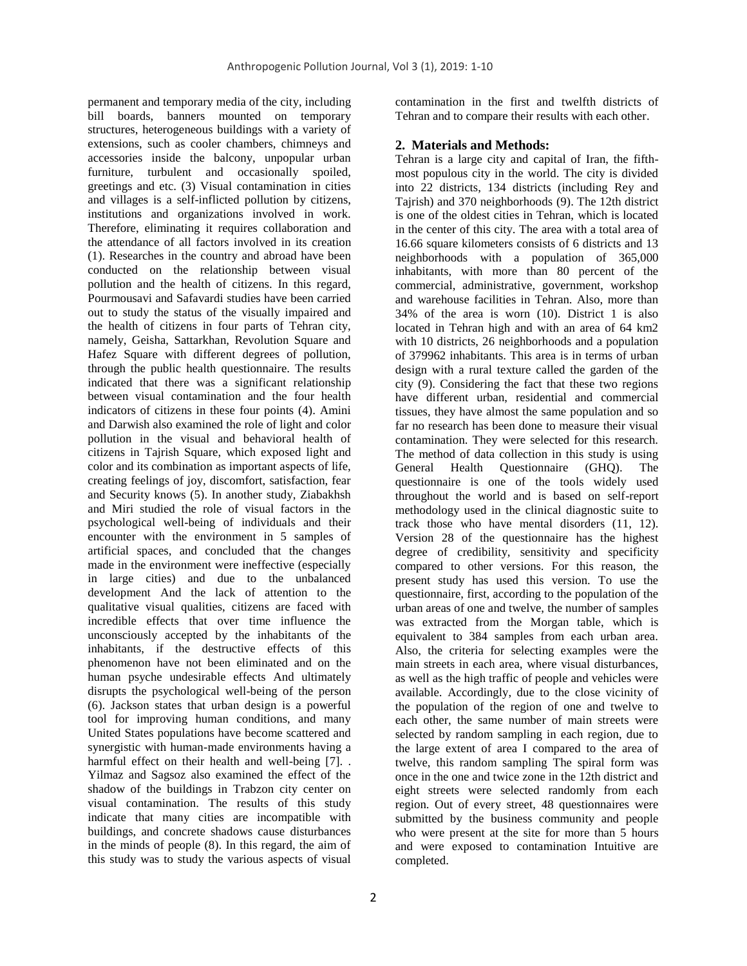permanent and temporary media of the city, including bill boards, banners mounted on temporary structures, heterogeneous buildings with a variety of extensions, such as cooler chambers, chimneys and accessories inside the balcony, unpopular urban furniture, turbulent and occasionally spoiled, greetings and etc. (3) Visual contamination in cities and villages is a self-inflicted pollution by citizens, institutions and organizations involved in work. Therefore, eliminating it requires collaboration and the attendance of all factors involved in its creation (1). Researches in the country and abroad have been conducted on the relationship between visual pollution and the health of citizens. In this regard, Pourmousavi and Safavardi studies have been carried out to study the status of the visually impaired and the health of citizens in four parts of Tehran city, namely, Geisha, Sattarkhan, Revolution Square and Hafez Square with different degrees of pollution, through the public health questionnaire. The results indicated that there was a significant relationship between visual contamination and the four health indicators of citizens in these four points (4). Amini and Darwish also examined the role of light and color pollution in the visual and behavioral health of citizens in Tajrish Square, which exposed light and color and its combination as important aspects of life, creating feelings of joy, discomfort, satisfaction, fear and Security knows (5). In another study, Ziabakhsh and Miri studied the role of visual factors in the psychological well-being of individuals and their encounter with the environment in 5 samples of artificial spaces, and concluded that the changes made in the environment were ineffective (especially in large cities) and due to the unbalanced development And the lack of attention to the qualitative visual qualities, citizens are faced with incredible effects that over time influence the unconsciously accepted by the inhabitants of the inhabitants, if the destructive effects of this phenomenon have not been eliminated and on the human psyche undesirable effects And ultimately disrupts the psychological well-being of the person (6). Jackson states that urban design is a powerful tool for improving human conditions, and many United States populations have become scattered and synergistic with human-made environments having a harmful effect on their health and well-being [7]. . Yilmaz and Sagsoz also examined the effect of the shadow of the buildings in Trabzon city center on visual contamination. The results of this study indicate that many cities are incompatible with buildings, and concrete shadows cause disturbances in the minds of people (8). In this regard, the aim of this study was to study the various aspects of visual

contamination in the first and twelfth districts of Tehran and to compare their results with each other.

#### **2. Materials and Methods:**

Tehran is a large city and capital of Iran, the fifthmost populous city in the world. The city is divided into 22 districts, 134 districts (including Rey and Tajrish) and 370 neighborhoods (9). The 12th district is one of the oldest cities in Tehran, which is located in the center of this city. The area with a total area of 16.66 square kilometers consists of 6 districts and 13 neighborhoods with a population of 365,000 inhabitants, with more than 80 percent of the commercial, administrative, government, workshop and warehouse facilities in Tehran. Also, more than 34% of the area is worn (10). District 1 is also located in Tehran high and with an area of 64 km2 with 10 districts, 26 neighborhoods and a population of 379962 inhabitants. This area is in terms of urban design with a rural texture called the garden of the city (9). Considering the fact that these two regions have different urban, residential and commercial tissues, they have almost the same population and so far no research has been done to measure their visual contamination. They were selected for this research. The method of data collection in this study is using General Health Questionnaire (GHQ). The questionnaire is one of the tools widely used throughout the world and is based on self-report methodology used in the clinical diagnostic suite to track those who have mental disorders (11, 12). Version 28 of the questionnaire has the highest degree of credibility, sensitivity and specificity compared to other versions. For this reason, the present study has used this version. To use the questionnaire, first, according to the population of the urban areas of one and twelve, the number of samples was extracted from the Morgan table, which is equivalent to 384 samples from each urban area. Also, the criteria for selecting examples were the main streets in each area, where visual disturbances, as well as the high traffic of people and vehicles were available. Accordingly, due to the close vicinity of the population of the region of one and twelve to each other, the same number of main streets were selected by random sampling in each region, due to the large extent of area I compared to the area of twelve, this random sampling The spiral form was once in the one and twice zone in the 12th district and eight streets were selected randomly from each region. Out of every street, 48 questionnaires were submitted by the business community and people who were present at the site for more than 5 hours and were exposed to contamination Intuitive are completed.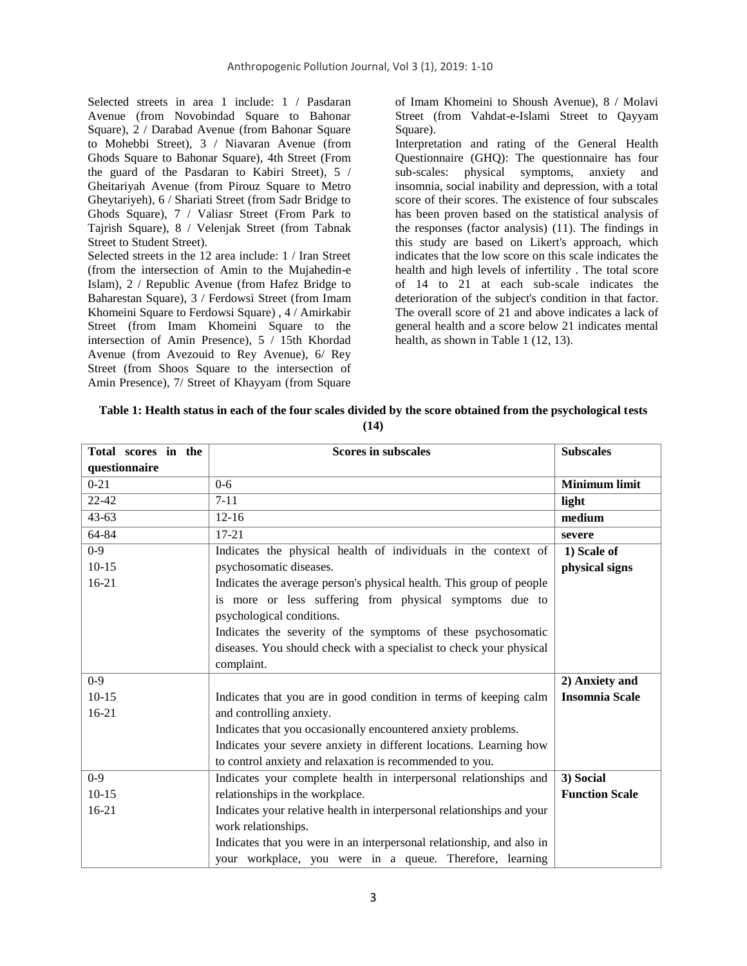Selected streets in area 1 include: 1 / Pasdaran Avenue (from Novobindad Square to Bahonar Square), 2 / Darabad Avenue (from Bahonar Square to Mohebbi Street), 3 / Niavaran Avenue (from Ghods Square to Bahonar Square), 4th Street (From the guard of the Pasdaran to Kabiri Street), 5 / Gheitariyah Avenue (from Pirouz Square to Metro Gheytariyeh), 6 / Shariati Street (from Sadr Bridge to Ghods Square), 7 / Valiasr Street (From Park to Tajrish Square), 8 / Velenjak Street (from Tabnak Street to Student Street).

Selected streets in the 12 area include: 1 / Iran Street (from the intersection of Amin to the Mujahedin-e Islam), 2 / Republic Avenue (from Hafez Bridge to Baharestan Square), 3 / Ferdowsi Street (from Imam Khomeini Square to Ferdowsi Square) , 4 / Amirkabir Street (from Imam Khomeini Square to the intersection of Amin Presence), 5 / 15th Khordad Avenue (from Avezouid to Rey Avenue), 6/ Rey Street (from Shoos Square to the intersection of Amin Presence), 7/ Street of Khayyam (from Square

of Imam Khomeini to Shoush Avenue), 8 / Molavi Street (from Vahdat-e-Islami Street to Qayyam Square).

Interpretation and rating of the General Health Questionnaire (GHQ): The questionnaire has four sub-scales: physical symptoms, anxiety and insomnia, social inability and depression, with a total score of their scores. The existence of four subscales has been proven based on the statistical analysis of the responses (factor analysis) (11). The findings in this study are based on Likert's approach, which indicates that the low score on this scale indicates the health and high levels of infertility . The total score of 14 to 21 at each sub-scale indicates the deterioration of the subject's condition in that factor. The overall score of 21 and above indicates a lack of general health and a score below 21 indicates mental health, as shown in Table 1 (12, 13).

| Table 1: Health status in each of the four scales divided by the score obtained from the psychological tests |
|--------------------------------------------------------------------------------------------------------------|
| (14)                                                                                                         |

| Total scores in the | <b>Scores in subscales</b>                                             | <b>Subscales</b>      |
|---------------------|------------------------------------------------------------------------|-----------------------|
| questionnaire       |                                                                        |                       |
| $0 - 21$            | $0-6$                                                                  | <b>Minimum limit</b>  |
| $22 - 42$           | $7 - 11$                                                               | light                 |
| $43 - 63$           | $12 - 16$                                                              | medium                |
| 64-84               | $17 - 21$                                                              | severe                |
| $0 - 9$             | Indicates the physical health of individuals in the context of         | 1) Scale of           |
| $10 - 15$           | psychosomatic diseases.                                                | physical signs        |
| $16-21$             | Indicates the average person's physical health. This group of people   |                       |
|                     | is more or less suffering from physical symptoms due to                |                       |
|                     | psychological conditions.                                              |                       |
|                     | Indicates the severity of the symptoms of these psychosomatic          |                       |
|                     | diseases. You should check with a specialist to check your physical    |                       |
|                     | complaint.                                                             |                       |
| $0 - 9$             |                                                                        | 2) Anxiety and        |
| $10-15$             | Indicates that you are in good condition in terms of keeping calm      | <b>Insomnia Scale</b> |
| $16 - 21$           | and controlling anxiety.                                               |                       |
|                     | Indicates that you occasionally encountered anxiety problems.          |                       |
|                     | Indicates your severe anxiety in different locations. Learning how     |                       |
|                     | to control anxiety and relaxation is recommended to you.               |                       |
| $0 - 9$             | Indicates your complete health in interpersonal relationships and      | 3) Social             |
| $10-15$             | relationships in the workplace.                                        | <b>Function Scale</b> |
| $16 - 21$           | Indicates your relative health in interpersonal relationships and your |                       |
|                     | work relationships.                                                    |                       |
|                     | Indicates that you were in an interpersonal relationship, and also in  |                       |
|                     | your workplace, you were in a queue. Therefore, learning               |                       |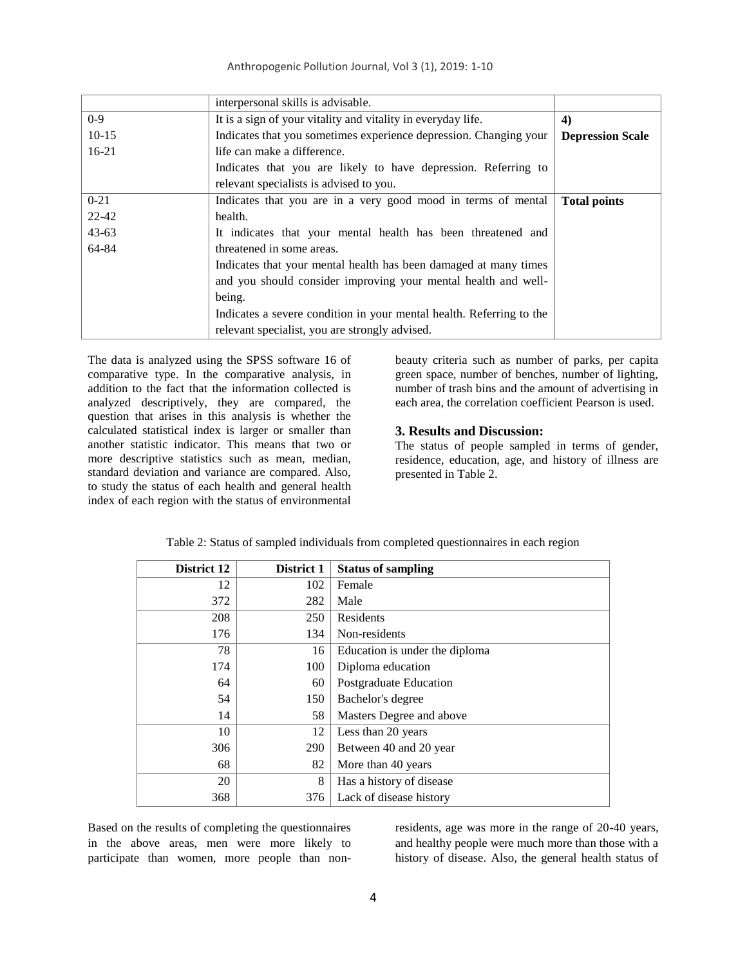|           | interpersonal skills is advisable.                                   |                         |
|-----------|----------------------------------------------------------------------|-------------------------|
| $0-9$     | It is a sign of your vitality and vitality in everyday life.         | 4)                      |
| $10-15$   | Indicates that you sometimes experience depression. Changing your    | <b>Depression Scale</b> |
| $16-21$   | life can make a difference.                                          |                         |
|           | Indicates that you are likely to have depression. Referring to       |                         |
|           | relevant specialists is advised to you.                              |                         |
| $0 - 21$  | Indicates that you are in a very good mood in terms of mental        | <b>Total points</b>     |
| $22 - 42$ | health.                                                              |                         |
| $43 - 63$ | It indicates that your mental health has been threatened and         |                         |
| 64-84     | threatened in some areas.                                            |                         |
|           | Indicates that your mental health has been damaged at many times     |                         |
|           | and you should consider improving your mental health and well-       |                         |
|           | being.                                                               |                         |
|           | Indicates a severe condition in your mental health. Referring to the |                         |
|           | relevant specialist, you are strongly advised.                       |                         |

The data is analyzed using the SPSS software 16 of comparative type. In the comparative analysis, in addition to the fact that the information collected is analyzed descriptively, they are compared, the question that arises in this analysis is whether the calculated statistical index is larger or smaller than another statistic indicator. This means that two or more descriptive statistics such as mean, median, standard deviation and variance are compared. Also, to study the status of each health and general health index of each region with the status of environmental beauty criteria such as number of parks, per capita green space, number of benches, number of lighting, number of trash bins and the amount of advertising in each area, the correlation coefficient Pearson is used.

## **3. Results and Discussion:**

The status of people sampled in terms of gender, residence, education, age, and history of illness are presented in Table 2.

| District 12 | District 1 | <b>Status of sampling</b>      |  |  |
|-------------|------------|--------------------------------|--|--|
| 12          | 102        | Female                         |  |  |
| 372         | 282        | Male                           |  |  |
| 208         | 250        | Residents                      |  |  |
| 176         | 134        | Non-residents                  |  |  |
| 78          | 16         | Education is under the diploma |  |  |
| 174         | 100        | Diploma education              |  |  |
| 64          | 60         | Postgraduate Education         |  |  |
| 54          | 150        | Bachelor's degree              |  |  |
| 14          | 58         | Masters Degree and above       |  |  |
| 10          | 12         | Less than 20 years             |  |  |
| 306         | 290        | Between 40 and 20 year         |  |  |
| 68          | 82         | More than 40 years             |  |  |
| 20          | 8          | Has a history of disease       |  |  |
| 368         | 376        | Lack of disease history        |  |  |

Table 2: Status of sampled individuals from completed questionnaires in each region

Based on the results of completing the questionnaires in the above areas, men were more likely to participate than women, more people than nonresidents, age was more in the range of 20-40 years, and healthy people were much more than those with a history of disease. Also, the general health status of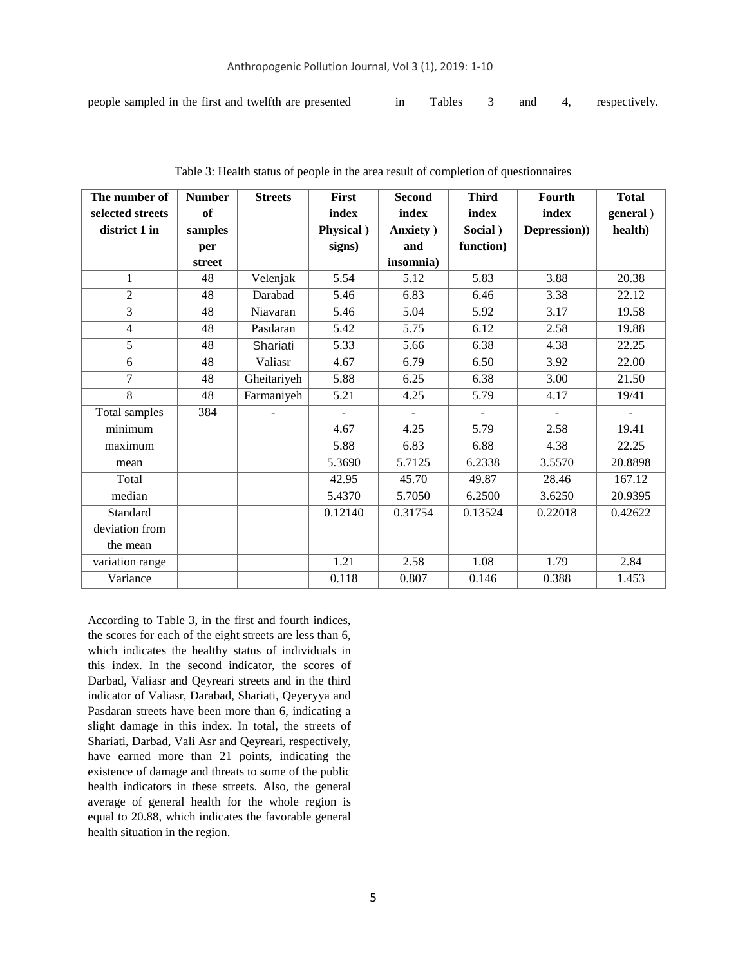| people sampled in the first and twelfth are presented |  |  |  |  |  | Tables 3 and 4, respectively. |
|-------------------------------------------------------|--|--|--|--|--|-------------------------------|
|-------------------------------------------------------|--|--|--|--|--|-------------------------------|

| The number of    | <b>Number</b> | <b>Streets</b> | <b>First</b>   | <b>Second</b>  | <b>Third</b>   | Fourth         | <b>Total</b>   |
|------------------|---------------|----------------|----------------|----------------|----------------|----------------|----------------|
| selected streets | of            |                | index          | index          | index          | index          | general)       |
| district 1 in    | samples       |                | Physical )     | Anxiety )      | Social)        | Depression))   | health)        |
|                  | per           |                | signs)         | and            | function)      |                |                |
|                  | street        |                |                | insomnia)      |                |                |                |
| 1                | 48            | Velenjak       | 5.54           | 5.12           | 5.83           | 3.88           | 20.38          |
| $\overline{2}$   | 48            | Darabad        | 5.46           | 6.83           | 6.46           | 3.38           | 22.12          |
| 3                | 48            | Niavaran       | 5.46           | 5.04           | 5.92           | 3.17           | 19.58          |
| 4                | 48            | Pasdaran       | 5.42           | 5.75           | 6.12           | 2.58           | 19.88          |
| 5                | 48            | Shariati       | 5.33           | 5.66           | 6.38           | 4.38           | 22.25          |
| 6                | 48            | Valiasr        | 4.67           | 6.79           | 6.50           | 3.92           | 22.00          |
| 7                | 48            | Gheitariyeh    | 5.88           | 6.25           | 6.38           | 3.00           | 21.50          |
| 8                | 48            | Farmaniyeh     | 5.21           | 4.25           | 5.79           | 4.17           | 19/41          |
| Total samples    | 384           | -              | $\overline{a}$ | $\blacksquare$ | $\blacksquare$ | $\blacksquare$ | $\blacksquare$ |
| minimum          |               |                | 4.67           | 4.25           | 5.79           | 2.58           | 19.41          |
| maximum          |               |                | 5.88           | 6.83           | 6.88           | 4.38           | 22.25          |
| mean             |               |                | 5.3690         | 5.7125         | 6.2338         | 3.5570         | 20.8898        |
| Total            |               |                | 42.95          | 45.70          | 49.87          | 28.46          | 167.12         |
| median           |               |                | 5.4370         | 5.7050         | 6.2500         | 3.6250         | 20.9395        |
| Standard         |               |                | 0.12140        | 0.31754        | 0.13524        | 0.22018        | 0.42622        |
| deviation from   |               |                |                |                |                |                |                |
| the mean         |               |                |                |                |                |                |                |
| variation range  |               |                | 1.21           | 2.58           | 1.08           | 1.79           | 2.84           |
| Variance         |               |                | 0.118          | 0.807          | 0.146          | 0.388          | 1.453          |

Table 3: Health status of people in the area result of completion of questionnaires

According to Table 3, in the first and fourth indices, the scores for each of the eight streets are less than 6, which indicates the healthy status of individuals in this index. In the second indicator, the scores of Darbad, Valiasr and Qeyreari streets and in the third indicator of Valiasr, Darabad, Shariati, Qeyeryya and Pasdaran streets have been more than 6, indicating a slight damage in this index. In total, the streets of Shariati, Darbad, Vali Asr and Qeyreari, respectively, have earned more than 21 points, indicating the existence of damage and threats to some of the public health indicators in these streets. Also, the general average of general health for the whole region is equal to 20.88, which indicates the favorable general health situation in the region.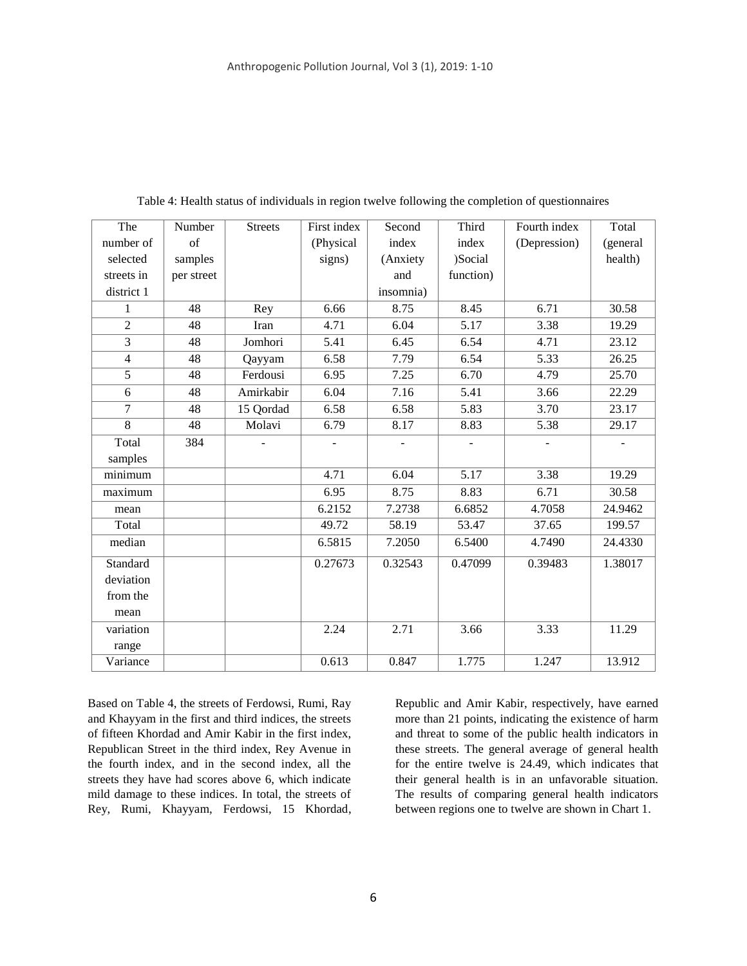| The            | Number     | <b>Streets</b> | First index    | Second         | Third             | Fourth index   | Total          |
|----------------|------------|----------------|----------------|----------------|-------------------|----------------|----------------|
| number of      | of         |                | (Physical      | index          | index             | (Depression)   | (general       |
| selected       | samples    |                | signs)         | (Anxiety       | )Social           |                | health)        |
| streets in     | per street |                |                | and            | function)         |                |                |
| district 1     |            |                |                | insomnia)      |                   |                |                |
| 1              | 48         | Rey            | 6.66           | 8.75           | 8.45              | 6.71           | 30.58          |
| $\overline{2}$ | 48         | Iran           | 4.71           | 6.04           | 5.17              | 3.38           | 19.29          |
| 3              | 48         | Jomhori        | 5.41           | 6.45           | 6.54              | 4.71           | 23.12          |
| $\overline{4}$ | 48         | Qayyam         | 6.58           | 7.79           | 6.54              | 5.33           | 26.25          |
| $\overline{5}$ | 48         | Ferdousi       | 6.95           | 7.25           | 6.70              | 4.79           | 25.70          |
| 6              | 48         | Amirkabir      | 6.04           | 7.16           | 5.41              | 3.66           | 22.29          |
| $\overline{7}$ | 48         | 15 Qordad      | 6.58           | 6.58           | 5.83              | 3.70           | 23.17          |
| $\overline{8}$ | 48         | Molavi         | 6.79           | 8.17           | 8.83              | 5.38           | 29.17          |
| Total          | 384        |                | $\blacksquare$ | $\blacksquare$ | $\overline{a}$    | $\blacksquare$ | $\blacksquare$ |
| samples        |            |                |                |                |                   |                |                |
| minimum        |            |                | 4.71           | 6.04           | $\overline{5.17}$ | 3.38           | 19.29          |
| maximum        |            |                | 6.95           | 8.75           | 8.83              | 6.71           | 30.58          |
| mean           |            |                | 6.2152         | 7.2738         | 6.6852            | 4.7058         | 24.9462        |
| Total          |            |                | 49.72          | 58.19          | 53.47             | 37.65          | 199.57         |
| median         |            |                | 6.5815         | 7.2050         | 6.5400            | 4.7490         | 24.4330        |
| Standard       |            |                | 0.27673        | 0.32543        | 0.47099           | 0.39483        | 1.38017        |
| deviation      |            |                |                |                |                   |                |                |
| from the       |            |                |                |                |                   |                |                |
| mean           |            |                |                |                |                   |                |                |
| variation      |            |                | 2.24           | 2.71           | 3.66              | 3.33           | 11.29          |
| range          |            |                |                |                |                   |                |                |
| Variance       |            |                | 0.613          | 0.847          | 1.775             | 1.247          | 13.912         |

Table 4: Health status of individuals in region twelve following the completion of questionnaires

Based on Table 4, the streets of Ferdowsi, Rumi, Ray and Khayyam in the first and third indices, the streets of fifteen Khordad and Amir Kabir in the first index, Republican Street in the third index, Rey Avenue in the fourth index, and in the second index, all the streets they have had scores above 6, which indicate mild damage to these indices. In total, the streets of Rey, Rumi, Khayyam, Ferdowsi, 15 Khordad, Republic and Amir Kabir, respectively, have earned more than 21 points, indicating the existence of harm and threat to some of the public health indicators in these streets. The general average of general health for the entire twelve is 24.49, which indicates that their general health is in an unfavorable situation. The results of comparing general health indicators between regions one to twelve are shown in Chart 1.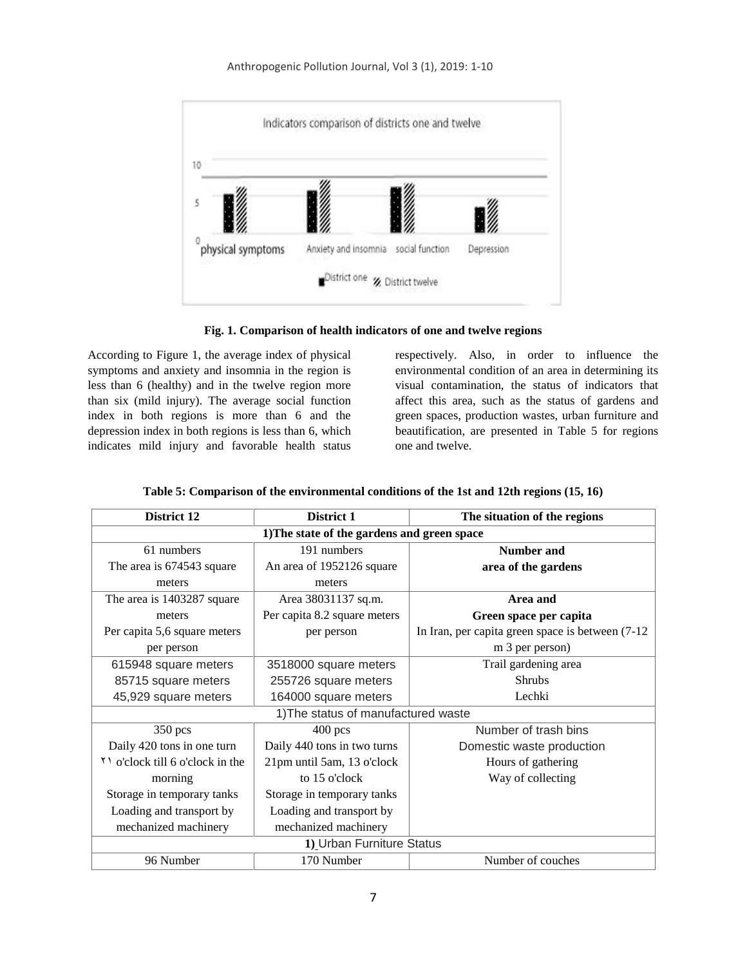

**Fig. 1. Comparison of health indicators of one and twelve regions**

According to Figure 1, the average index of physical symptoms and anxiety and insomnia in the region is less than 6 (healthy) and in the twelve region more than six (mild injury). The average social function index in both regions is more than 6 and the depression index in both regions is less than 6, which indicates mild injury and favorable health status respectively. Also, in order to influence the environmental condition of an area in determining its visual contamination, the status of indicators that affect this area, such as the status of gardens and green spaces, production wastes, urban furniture and beautification, are presented in Table 5 for regions one and twelve.

| District 12                                 | District 1                          | The situation of the regions                      |  |  |  |  |
|---------------------------------------------|-------------------------------------|---------------------------------------------------|--|--|--|--|
| 1) The state of the gardens and green space |                                     |                                                   |  |  |  |  |
| 61 numbers                                  | 191 numbers                         | <b>Number and</b>                                 |  |  |  |  |
| The area is 674543 square                   | An area of 1952126 square           | area of the gardens                               |  |  |  |  |
| meters                                      | meters                              |                                                   |  |  |  |  |
| The area is 1403287 square                  | Area 38031137 sq.m.                 | Area and                                          |  |  |  |  |
| meters                                      | Per capita 8.2 square meters        | Green space per capita                            |  |  |  |  |
| Per capita 5,6 square meters                | per person                          | In Iran, per capita green space is between (7-12) |  |  |  |  |
| per person                                  |                                     | m 3 per person)                                   |  |  |  |  |
| 615948 square meters                        | 3518000 square meters               | Trail gardening area                              |  |  |  |  |
| 85715 square meters                         | 255726 square meters                | <b>Shrubs</b>                                     |  |  |  |  |
| 45,929 square meters                        | 164000 square meters                | Lechki                                            |  |  |  |  |
|                                             | 1) The status of manufactured waste |                                                   |  |  |  |  |
| $350$ pcs                                   | $400$ pcs                           | Number of trash bins                              |  |  |  |  |
| Daily 420 tons in one turn                  | Daily 440 tons in two turns         | Domestic waste production                         |  |  |  |  |
| Y o'clock till 6 o'clock in the             | 21pm until 5am, 13 o'clock          | Hours of gathering                                |  |  |  |  |
| morning                                     | to 15 o'clock                       | Way of collecting                                 |  |  |  |  |
| Storage in temporary tanks                  | Storage in temporary tanks          |                                                   |  |  |  |  |
| Loading and transport by                    | Loading and transport by            |                                                   |  |  |  |  |
| mechanized machinery                        | mechanized machinery                |                                                   |  |  |  |  |
|                                             | 1) Urban Furniture Status           |                                                   |  |  |  |  |
| 96 Number                                   | 170 Number                          | Number of couches                                 |  |  |  |  |

**Table 5: Comparison of the environmental conditions of the 1st and 12th regions (15, 16)**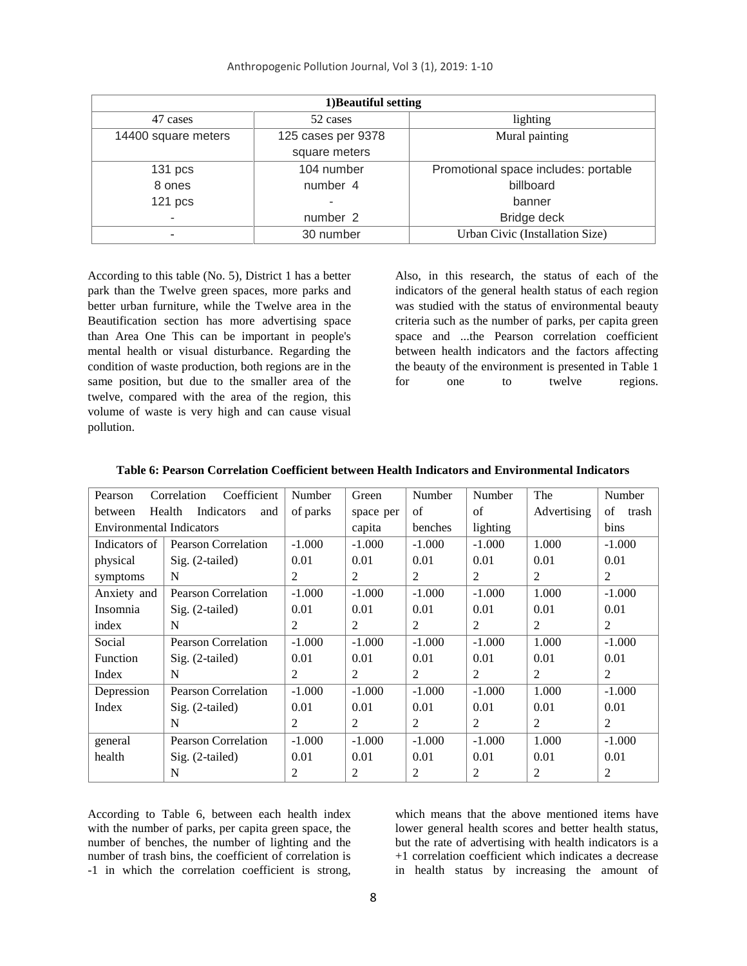| 1) Beautiful setting |                    |                                      |  |  |  |  |
|----------------------|--------------------|--------------------------------------|--|--|--|--|
| 47 cases             | 52 cases           | lighting                             |  |  |  |  |
| 14400 square meters  | 125 cases per 9378 | Mural painting                       |  |  |  |  |
|                      | square meters      |                                      |  |  |  |  |
| 131 pcs              | 104 number         | Promotional space includes: portable |  |  |  |  |
| 8 ones               | number 4           | billboard                            |  |  |  |  |
| 121 pcs              |                    | banner                               |  |  |  |  |
|                      | number 2           | Bridge deck                          |  |  |  |  |
|                      | 30 number          | Urban Civic (Installation Size)      |  |  |  |  |

According to this table (No. 5), District 1 has a better park than the Twelve green spaces, more parks and better urban furniture, while the Twelve area in the Beautification section has more advertising space than Area One This can be important in people's mental health or visual disturbance. Regarding the condition of waste production, both regions are in the same position, but due to the smaller area of the twelve, compared with the area of the region, this volume of waste is very high and can cause visual pollution.

Also, in this research, the status of each of the indicators of the general health status of each region was studied with the status of environmental beauty criteria such as the number of parks, per capita green space and ...the Pearson correlation coefficient between health indicators and the factors affecting the beauty of the environment is presented in Table 1 for one to twelve regions.

| Pearson                         | Coefficient<br>Correlation  | Number   | Green     | Number   | Number   | The         | Number         |
|---------------------------------|-----------------------------|----------|-----------|----------|----------|-------------|----------------|
| between                         | Health<br>Indicators<br>and | of parks | space per | of       | of       | Advertising | of<br>trash    |
| <b>Environmental Indicators</b> |                             |          | capita    | benches  | lighting |             | bins           |
| Indicators of                   | Pearson Correlation         | $-1.000$ | $-1.000$  | $-1.000$ | $-1.000$ | 1.000       | $-1.000$       |
| physical                        | $Sig. (2-tailed)$           | 0.01     | 0.01      | 0.01     | 0.01     | 0.01        | 0.01           |
| symptoms                        | N                           | 2        | 2         | 2        | 2        | 2           | $\overline{2}$ |
| Anxiety and                     | <b>Pearson Correlation</b>  | $-1.000$ | $-1.000$  | $-1.000$ | $-1.000$ | 1.000       | $-1.000$       |
| Insomnia                        | $Sig. (2-tailed)$           | 0.01     | 0.01      | 0.01     | 0.01     | 0.01        | 0.01           |
| index                           | N                           | 2        | 2         | 2        | 2        | 2           | 2              |
| Social                          | <b>Pearson Correlation</b>  | $-1.000$ | $-1.000$  | $-1.000$ | $-1.000$ | 1.000       | $-1.000$       |
| Function                        | $\mathrm{Sig.}$ (2-tailed)  | 0.01     | 0.01      | 0.01     | 0.01     | 0.01        | 0.01           |
| Index                           | N                           | 2        | 2         | 2        | 2        | 2           | 2              |
| Depression                      | <b>Pearson Correlation</b>  | $-1.000$ | $-1.000$  | $-1.000$ | $-1.000$ | 1.000       | $-1.000$       |
| Index                           | $Sig. (2-tailed)$           | 0.01     | 0.01      | 0.01     | 0.01     | 0.01        | 0.01           |
|                                 | N                           | 2        | 2         | 2        | 2        | 2           | $\overline{2}$ |
| general                         | Pearson Correlation         | $-1.000$ | $-1.000$  | $-1.000$ | $-1.000$ | 1.000       | $-1.000$       |
| health                          | $Sig. (2-tailed)$           | 0.01     | 0.01      | 0.01     | 0.01     | 0.01        | 0.01           |
|                                 | N                           | 2        | 2         | 2        | 2        | 2           | $\overline{2}$ |

**Table 6: Pearson Correlation Coefficient between Health Indicators and Environmental Indicators**

According to Table 6, between each health index with the number of parks, per capita green space, the number of benches, the number of lighting and the number of trash bins, the coefficient of correlation is -1 in which the correlation coefficient is strong,

which means that the above mentioned items have lower general health scores and better health status, but the rate of advertising with health indicators is a +1 correlation coefficient which indicates a decrease in health status by increasing the amount of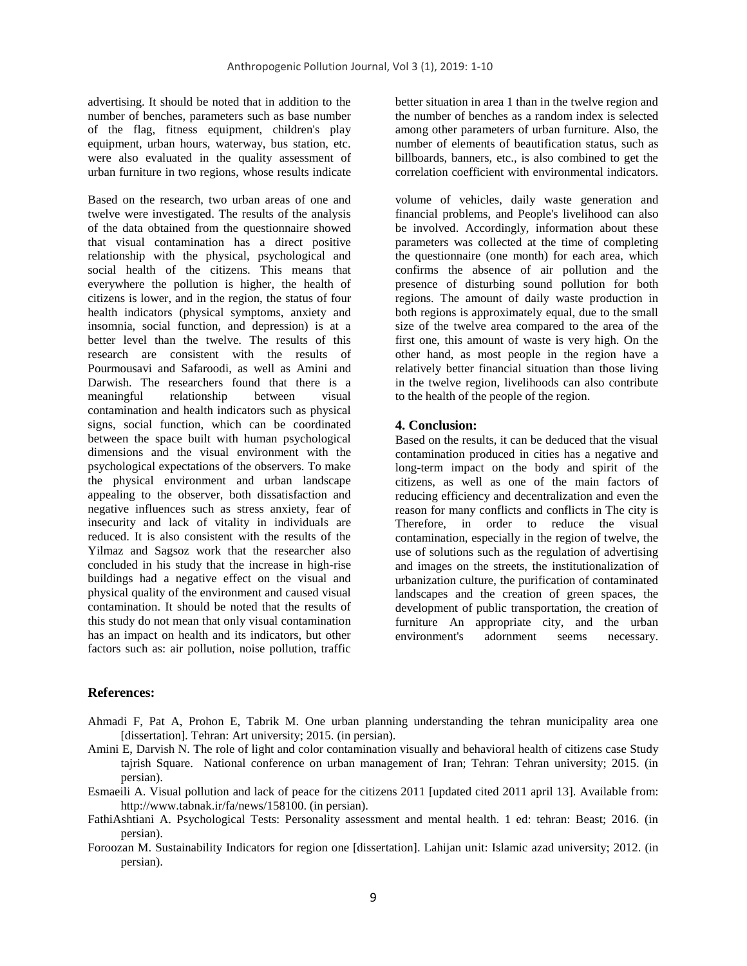advertising. It should be noted that in addition to the number of benches, parameters such as base number of the flag, fitness equipment, children's play equipment, urban hours, waterway, bus station, etc. were also evaluated in the quality assessment of urban furniture in two regions, whose results indicate

Based on the research, two urban areas of one and twelve were investigated. The results of the analysis of the data obtained from the questionnaire showed that visual contamination has a direct positive relationship with the physical, psychological and social health of the citizens. This means that everywhere the pollution is higher, the health of citizens is lower, and in the region, the status of four health indicators (physical symptoms, anxiety and insomnia, social function, and depression) is at a better level than the twelve. The results of this research are consistent with the results of Pourmousavi and Safaroodi, as well as Amini and Darwish. The researchers found that there is a meaningful relationship between visual contamination and health indicators such as physical signs, social function, which can be coordinated between the space built with human psychological dimensions and the visual environment with the psychological expectations of the observers. To make the physical environment and urban landscape appealing to the observer, both dissatisfaction and negative influences such as stress anxiety, fear of insecurity and lack of vitality in individuals are reduced. It is also consistent with the results of the Yilmaz and Sagsoz work that the researcher also concluded in his study that the increase in high-rise buildings had a negative effect on the visual and physical quality of the environment and caused visual contamination. It should be noted that the results of this study do not mean that only visual contamination has an impact on health and its indicators, but other factors such as: air pollution, noise pollution, traffic

better situation in area 1 than in the twelve region and the number of benches as a random index is selected among other parameters of urban furniture. Also, the number of elements of beautification status, such as billboards, banners, etc., is also combined to get the correlation coefficient with environmental indicators.

volume of vehicles, daily waste generation and financial problems, and People's livelihood can also be involved. Accordingly, information about these parameters was collected at the time of completing the questionnaire (one month) for each area, which confirms the absence of air pollution and the presence of disturbing sound pollution for both regions. The amount of daily waste production in both regions is approximately equal, due to the small size of the twelve area compared to the area of the first one, this amount of waste is very high. On the other hand, as most people in the region have a relatively better financial situation than those living in the twelve region, livelihoods can also contribute to the health of the people of the region.

#### **4. Conclusion:**

Based on the results, it can be deduced that the visual contamination produced in cities has a negative and long-term impact on the body and spirit of the citizens, as well as one of the main factors of reducing efficiency and decentralization and even the reason for many conflicts and conflicts in The city is Therefore, in order to reduce the visual contamination, especially in the region of twelve, the use of solutions such as the regulation of advertising and images on the streets, the institutionalization of urbanization culture, the purification of contaminated landscapes and the creation of green spaces, the development of public transportation, the creation of furniture An appropriate city, and the urban environment's adornment seems necessary.

## **References:**

- Ahmadi F, Pat A, Prohon E, Tabrik M. One urban planning understanding the tehran municipality area one [dissertation]. Tehran: Art university; 2015. (in persian).
- Amini E, Darvish N. The role of light and color contamination visually and behavioral health of citizens case Study tajrish Square. National conference on urban management of Iran; Tehran: Tehran university; 2015. (in persian).
- Esmaeili A. Visual pollution and lack of peace for the citizens 2011 [updated cited 2011 april 13]. Available from: http://www.tabnak.ir/fa/news/158100. (in persian).
- FathiAshtiani A. Psychological Tests: Personality assessment and mental health. 1 ed: tehran: Beast; 2016. (in persian).
- Foroozan M. Sustainability Indicators for region one [dissertation]. Lahijan unit: Islamic azad university; 2012. (in persian).